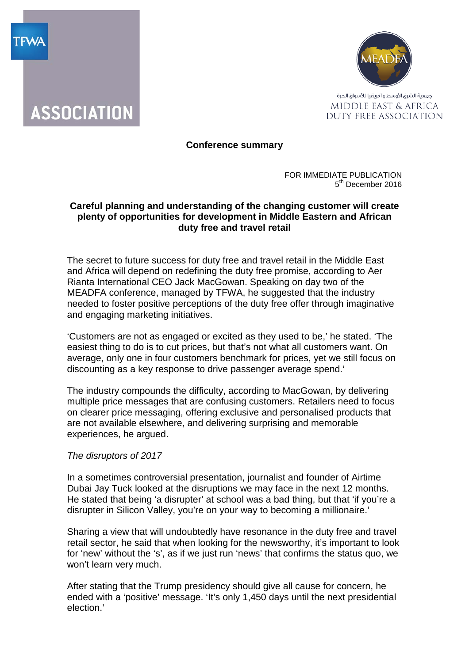



# **Conference summary**

FOR IMMEDIATE PUBLICATION 5<sup>th</sup> December 2016

## **Careful planning and understanding of the changing customer will create plenty of opportunities for development in Middle Eastern and African duty free and travel retail**

The secret to future success for duty free and travel retail in the Middle East and Africa will depend on redefining the duty free promise, according to Aer Rianta International CEO Jack MacGowan. Speaking on day two of the MEADFA conference, managed by TFWA, he suggested that the industry needed to foster positive perceptions of the duty free offer through imaginative and engaging marketing initiatives.

'Customers are not as engaged or excited as they used to be,' he stated. 'The easiest thing to do is to cut prices, but that's not what all customers want. On average, only one in four customers benchmark for prices, yet we still focus on discounting as a key response to drive passenger average spend.'

The industry compounds the difficulty, according to MacGowan, by delivering multiple price messages that are confusing customers. Retailers need to focus on clearer price messaging, offering exclusive and personalised products that are not available elsewhere, and delivering surprising and memorable experiences, he argued.

### *The disruptors of 2017*

In a sometimes controversial presentation, journalist and founder of Airtime Dubai Jay Tuck looked at the disruptions we may face in the next 12 months. He stated that being 'a disrupter' at school was a bad thing, but that 'if you're a disrupter in Silicon Valley, you're on your way to becoming a millionaire.'

Sharing a view that will undoubtedly have resonance in the duty free and travel retail sector, he said that when looking for the newsworthy, it's important to look for 'new' without the 's', as if we just run 'news' that confirms the status quo, we won't learn very much.

After stating that the Trump presidency should give all cause for concern, he ended with a 'positive' message. 'It's only 1,450 days until the next presidential election.'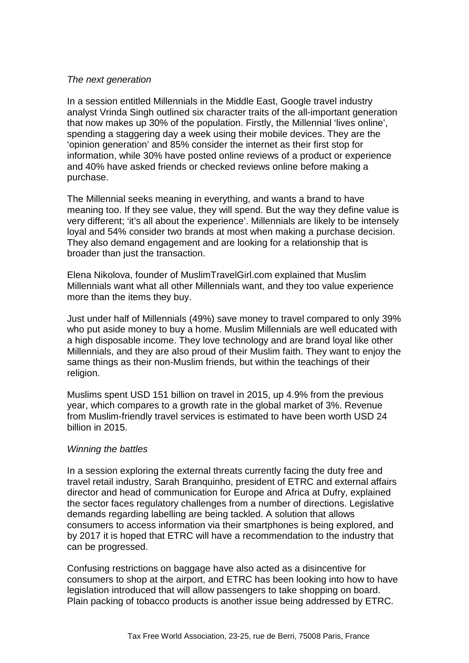## *The next generation*

In a session entitled Millennials in the Middle East, Google travel industry analyst Vrinda Singh outlined six character traits of the all-important generation that now makes up 30% of the population. Firstly, the Millennial 'lives online', spending a staggering day a week using their mobile devices. They are the 'opinion generation' and 85% consider the internet as their first stop for information, while 30% have posted online reviews of a product or experience and 40% have asked friends or checked reviews online before making a purchase.

The Millennial seeks meaning in everything, and wants a brand to have meaning too. If they see value, they will spend. But the way they define value is very different; 'it's all about the experience'. Millennials are likely to be intensely loyal and 54% consider two brands at most when making a purchase decision. They also demand engagement and are looking for a relationship that is broader than just the transaction.

Elena Nikolova, founder of MuslimTravelGirl.com explained that Muslim Millennials want what all other Millennials want, and they too value experience more than the items they buy.

Just under half of Millennials (49%) save money to travel compared to only 39% who put aside money to buy a home. Muslim Millennials are well educated with a high disposable income. They love technology and are brand loyal like other Millennials, and they are also proud of their Muslim faith. They want to enjoy the same things as their non-Muslim friends, but within the teachings of their religion.

Muslims spent USD 151 billion on travel in 2015, up 4.9% from the previous year, which compares to a growth rate in the global market of 3%. Revenue from Muslim-friendly travel services is estimated to have been worth USD 24 billion in 2015.

### *Winning the battles*

In a session exploring the external threats currently facing the duty free and travel retail industry, Sarah Branquinho, president of ETRC and external affairs director and head of communication for Europe and Africa at Dufry, explained the sector faces regulatory challenges from a number of directions. Legislative demands regarding labelling are being tackled. A solution that allows consumers to access information via their smartphones is being explored, and by 2017 it is hoped that ETRC will have a recommendation to the industry that can be progressed.

Confusing restrictions on baggage have also acted as a disincentive for consumers to shop at the airport, and ETRC has been looking into how to have legislation introduced that will allow passengers to take shopping on board. Plain packing of tobacco products is another issue being addressed by ETRC.